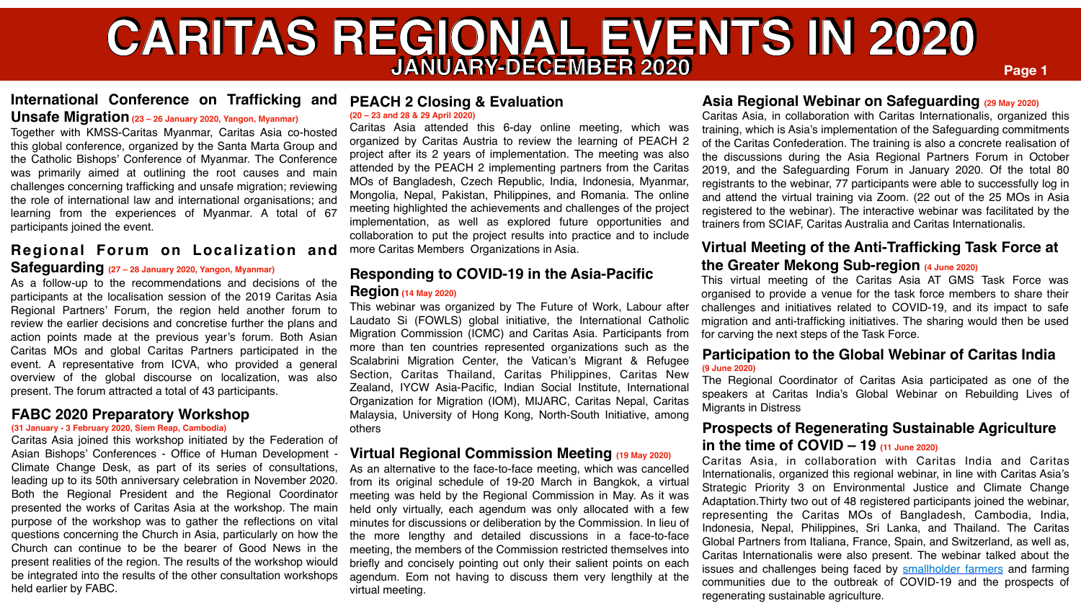# **PEACH 2 Closing & Evaluation**

# **Responding to COVID-19 in the Asia-Pacific**

## **Asia Regional Webinar on Safeguarding (29 May 2020)**

## **Prospects of Regenerating Sustainable Agriculture in the time of COVID – 19 (11 June 2020)**

**(20 – 23 and 28 & 29 April 2020)** Caritas Asia attended this 6-day online meeting, which was organized by Caritas Austria to review the learning of PEACH 2 project after its 2 years of implementation. The meeting was also attended by the PEACH 2 implementing partners from the Caritas MOs of Bangladesh, Czech Republic, India, Indonesia, Myanmar, Mongolia, Nepal, Pakistan, Philippines, and Romania. The online meeting highlighted the achievements and challenges of the project implementation, as well as explored future opportunities and collaboration to put the project results into practice and to include more Caritas Members Organizations in Asia. Caritas Asia, in collaboration with Caritas Internationalis, organized this training, which is Asia's implementation of the Safeguarding commitments of the Caritas Confederation. The training is also a concrete realisation of the discussions during the Asia Regional Partners Forum in October 2019, and the Safeguarding Forum in January 2020. Of the total 80 registrants to the webinar, 77 participants were able to successfully log in and attend the virtual training via Zoom. (22 out of the 25 MOs in Asia registered to the webinar). The interactive webinar was facilitated by the trainers from SCIAF, Caritas Australia and Caritas Internationalis. **Virtual Meeting of the Anti-Trafficking Task Force at** 

# **CARITAS REGIONAL EVENTS IN 2020 JANUARY-DECEMBER 2020**

# **International Conference on Trafficking and**

## **Unsafe Migration (23 – 26 January 2020, Yangon, Myanmar)**

Together with KMSS-Caritas Myanmar, Caritas Asia co-hosted this global conference, organized by the Santa Marta Group and the Catholic Bishops' Conference of Myanmar. The Conference was primarily aimed at outlining the root causes and main challenges concerning trafficking and unsafe migration; reviewing the role of international law and international organisations; and learning from the experiences of Myanmar. A total of 67 participants joined the event.

> **Region (14 May 2020)** This webinar was organized by The Future of Work, Labour after Laudato Si (FOWLS) global initiative, the International Catholic Migration Commission (ICMC) and Caritas Asia. Participants from more than ten countries represented organizations such as the Scalabrini Migration Center, the Vatican's Migrant & Refugee Section, Caritas Thailand, Caritas Philippines, Caritas New Zealand, IYCW Asia-Pacific, Indian Social Institute, International Organization for Migration (IOM), MIJARC, Caritas Nepal, Caritas Malaysia, University of Hong Kong, North-South Initiative, among others **Participation to the Global Webinar of Caritas India (9 June 2020)** The Regional Coordinator of Caritas Asia participated as one of the speakers at Caritas India's Global Webinar on Rebuilding Lives of Migrants in Distress organised to provide a venue for the task force members to share their challenges and initiatives related to COVID-19, and its impact to safe migration and anti-trafficking initiatives. The sharing would then be used for carving the next steps of the Task Force.

# **Regional Forum on Localization and**

## **Safeguarding (27 – 28 January 2020, Yangon, Myanmar)**

Caritas Asia, in collaboration with Caritas India and Caritas Internationalis, organized this regional webinar, in line with Caritas Asia's Strategic Priority 3 on Environmental Justice and Climate Change Adaptation.Thirty two out of 48 registered participants joined the webinar, representing the Caritas MOs of Bangladesh, Cambodia, India, Indonesia, Nepal, Philippines, Sri Lanka, and Thailand. The Caritas Global Partners from Italiana, France, Spain, and Switzerland, as well as, Caritas Internationalis were also present. The webinar talked about the issues and challenges being faced by **[smallholder farmers](https://www.youtube.com/watch?v=640aTeuAjNI)** and farming communities due to the outbreak of COVID-19 and the prospects of regenerating sustainable agriculture. As an alternative to the face-to-face meeting, which was cancelled from its original schedule of 19-20 March in Bangkok, a virtual meeting was held by the Regional Commission in May. As it was held only virtually, each agendum was only allocated with a few minutes for discussions or deliberation by the Commission. In lieu of the more lengthy and detailed discussions in a face-to-face meeting, the members of the Commission restricted themselves into briefly and concisely pointing out only their salient points on each agendum. Eom not having to discuss them very lengthily at the virtual meeting.

As a follow-up to the recommendations and decisions of the participants at the localisation session of the 2019 Caritas Asia Regional Partners' Forum, the region held another forum to review the earlier decisions and concretise further the plans and action points made at the previous year's forum. Both Asian Caritas MOs and global Caritas Partners participated in the event. A representative from ICVA, who provided a general overview of the global discourse on localization, was also present. The forum attracted a total of 43 participants.

# **FABC 2020 Preparatory Workshop**

### **(31 January - 3 February 2020, Siem Reap, Cambodia)**

Caritas Asia joined this workshop initiated by the Federation of Asian Bishops' Conferences - Office of Human Development - Climate Change Desk, as part of its series of consultations, leading up to its 50th anniversary celebration in November 2020. Both the Regional President and the Regional Coordinator presented the works of Caritas Asia at the workshop. The main purpose of the workshop was to gather the reflections on vital questions concerning the Church in Asia, particularly on how the Church can continue to be the bearer of Good News in the present realities of the region. The results of the workshop wiould be integrated into the results of the other consultation workshops held earlier by FABC.

# **Page 1**

# **Virtual Regional Commission Meeting (19 May 2020)**

# **the Greater Mekong Sub-region (4 June 2020)**

This virtual meeting of the Caritas Asia AT GMS Task Force was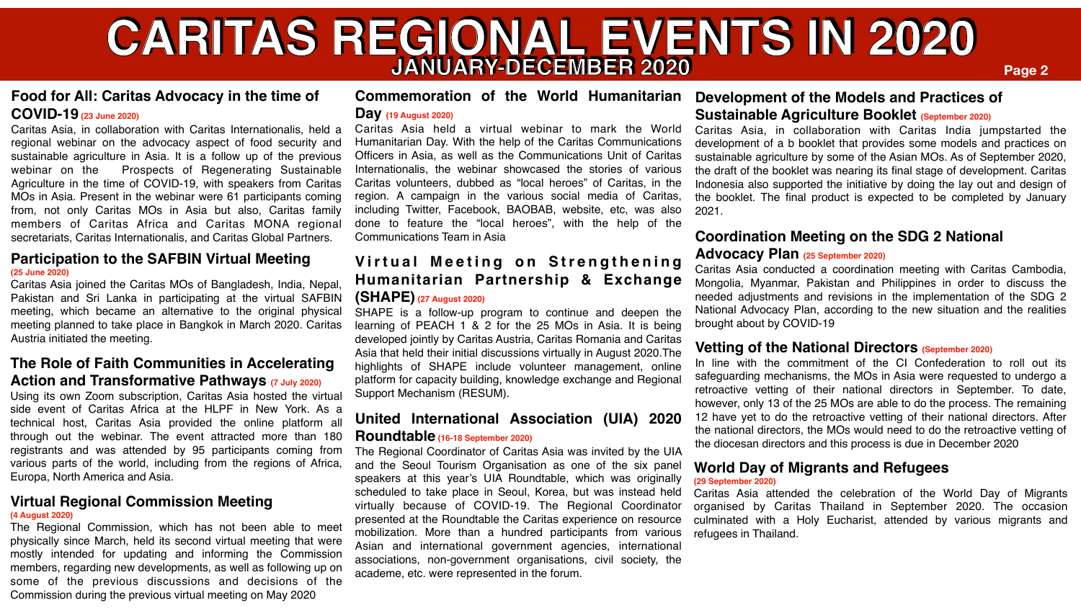# **Virtual Regional Commission Meeting**

**(4 August 2020)**

The Regional Commission, which has not been able to meet physically since March, held its second virtual meeting that were mostly intended for updating and informing the Commission members, regarding new developments, as well as following up on some of the previous discussions and decisions of the Commission during the previous virtual meeting on May 2020

# **Coordination Meeting on the SDG 2 National Advocacy Plan (25 September 2020)**

Caritas Asia conducted a coordination meeting with Caritas Cambodia, Mongolia, Myanmar, Pakistan and Philippines in order to discuss the needed adjustments and revisions in the implementation of the SDG 2 National Advocacy Plan, according to the new situation and the realities brought about by COVID-19

# Virtual Meeting on Strengthening **Humanitarian Partnership & Exchange (SHAPE)(27 August 2020)**

## **Participation to the SAFBIN Virtual Meeting (25 June 2020)**

Caritas Asia joined the Caritas MOs of Bangladesh, India, Nepal, Pakistan and Sri Lanka in participating at the virtual SAFBIN meeting, which became an alternative to the original physical meeting planned to take place in Bangkok in March 2020. Caritas Austria initiated the meeting.

# **The Role of Faith Communities in Accelerating Action and Transformative Pathways (7 July 2020)**

Using its own Zoom subscription, Caritas Asia hosted the virtual side event of Caritas Africa at the HLPF in New York. As a technical host, Caritas Asia provided the online platform all through out the webinar. The event attracted more than 180 registrants and was attended by 95 participants coming from various parts of the world, including from the regions of Africa, Europa, North America and Asia.

# **CARITAS REGIONAL EVENTS IN 2020 JANUARY-DECEMBER 2020**

**World Day of Migrants and Refugees (29 September 2020)** Caritas Asia attended the celebration of the World Day of Migrants virtually because of COVID-19. The Regional Coordinator organised by Caritas Thailand in September 2020. The occasion culminated with a Holy Eucharist, attended by various migrants and refugees in Thailand. The Regional Coordinator of Caritas Asia was invited by the UIA and the Seoul Tourism Organisation as one of the six panel speakers at this year's UIA Roundtable, which was originally scheduled to take place in Seoul, Korea, but was instead held presented at the Roundtable the Caritas experience on resource mobilization. More than a hundred participants from various Asian and international government agencies, international associations, non-government organisations, civil society, the academe, etc. were represented in the forum.

# **Development of the Models and Practices of Sustainable Agriculture Booklet (September 2020)**

SHAPE is a follow-up program to continue and deepen the learning of PEACH 1 & 2 for the 25 MOs in Asia. It is being developed jointly by Caritas Austria, Caritas Romania and Caritas Asia that held their initial discussions virtually in August 2020.The highlights of SHAPE include volunteer management, online platform for capacity building, knowledge exchange and Regional Support Mechanism (RESUM).

# **Commemoration of the World Humanitarian Day (19 August 2020)**

**Page 2**





# **Food for All: Caritas Advocacy in the time of COVID-19 (23 June 2020)**

Caritas Asia, in collaboration with Caritas Internationalis, held a regional webinar on the advocacy aspect of food security and sustainable agriculture in Asia. It is a follow up of the previous webinar on the Prospects of Regenerating Sustainable Agriculture in the time of COVID-19, with speakers from Caritas MOs in Asia. Present in the webinar were 61 participants coming from, not only Caritas MOs in Asia but also, Caritas family members of Caritas Africa and Caritas MONA regional secretariats, Caritas Internationalis, and Caritas Global Partners.

Caritas Asia held a virtual webinar to mark the World Humanitarian Day. With the help of the Caritas Communications Officers in Asia, as well as the Communications Unit of Caritas Internationalis, the webinar showcased the stories of various Caritas volunteers, dubbed as "local heroes" of Caritas, in the region. A campaign in the various social media of Caritas, including Twitter, Facebook, BAOBAB, website, etc, was also done to feature the "local heroes", with the help of the Communications Team in Asia Caritas Asia, in collaboration with Caritas India jumpstarted the development of a b booklet that provides some models and practices on sustainable agriculture by some of the Asian MOs. As of September 2020, the draft of the booklet was nearing its final stage of development. Caritas Indonesia also supported the initiative by doing the lay out and design of the booklet. The final product is expected to be completed by January 2021.

# **United International Association (UIA) 2020 Roundtable (16-18 September 2020)**

# **Vetting of the National Directors (September 2020)**

In line with the commitment of the CI Confederation to roll out its safeguarding mechanisms, the MOs in Asia were requested to undergo a retroactive vetting of their national directors in September. To date, however, only 13 of the 25 MOs are able to do the process. The remaining 12 have yet to do the retroactive vetting of their national directors. After the national directors, the MOs would need to do the retroactive vetting of the diocesan directors and this process is due in December 2020